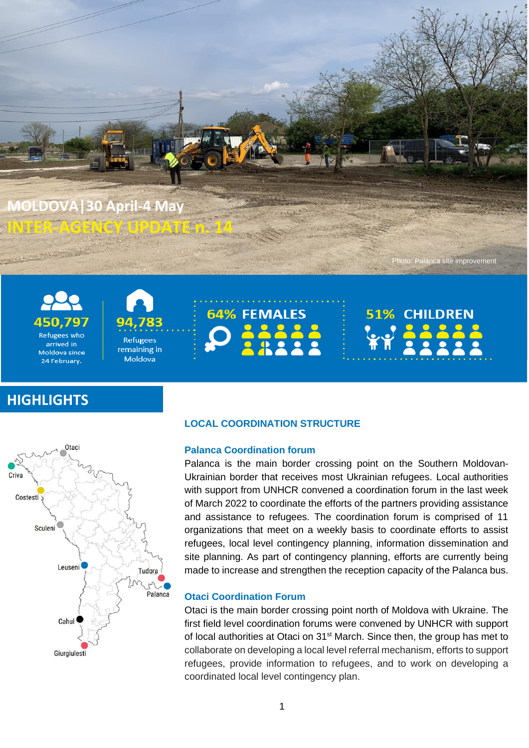

**INTER-AGENCY UPDATE n. 14**



*<u>*</u>



Moldova

## **HIGHLIGHTS**



## **LOCAL COORDINATION STRUCTURE**

### **Palanca Coordination forum**

Palanca is the main border crossing point on the Southern Moldovan-Ukrainian border that receives most Ukrainian refugees. Local authorities with support from UNHCR convened a coordination forum in the last week of March 2022 to coordinate the efforts of the partners providing assistance and assistance to refugees. The coordination forum is comprised of 11 organizations that meet on a weekly basis to coordinate efforts to assist refugees, local level contingency planning, information dissemination and site planning. As part of contingency planning, efforts are currently being made to increase and strengthen the reception capacity of the Palanca bus.

Photo: Palanca site improvement

**CHILDREN** 

51%

#### **Otaci Coordination Forum**

Otaci is the main border crossing point north of Moldova with Ukraine. The first field level coordination forums were convened by UNHCR with support of local authorities at Otaci on 31<sup>st</sup> March. Since then, the group has met to collaborate on developing a local level referral mechanism, efforts to support refugees, provide information to refugees, and to work on developing a coordinated local level contingency plan.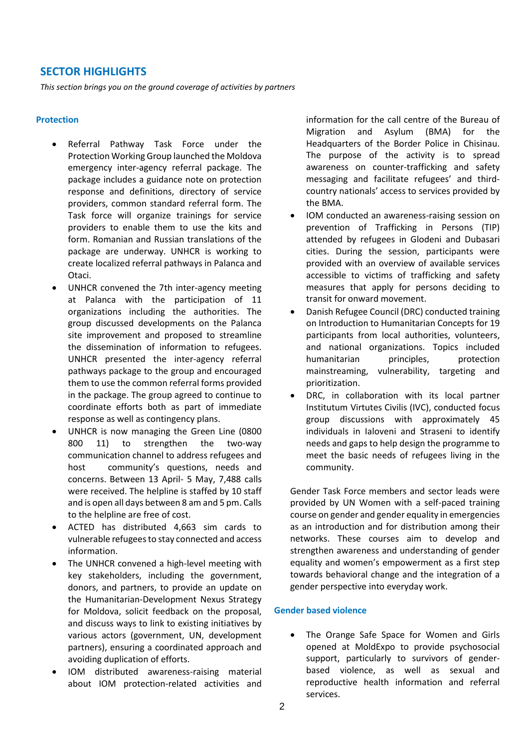## **SECTOR HIGHLIGHTS**

*This section brings you on the ground coverage of activities by partners*

#### **Protection**

- Referral Pathway Task Force under the Protection Working Group launched the Moldova emergency inter-agency referral package. The package includes a guidance note on protection response and definitions, directory of service providers, common standard referral form. The Task force will organize trainings for service providers to enable them to use the kits and form. Romanian and Russian translations of the package are underway. UNHCR is working to create localized referral pathways in Palanca and Otaci.
- UNHCR convened the 7th inter-agency meeting at Palanca with the participation of 11 organizations including the authorities. The group discussed developments on the Palanca site improvement and proposed to streamline the dissemination of information to refugees. UNHCR presented the inter-agency referral pathways package to the group and encouraged them to use the common referral forms provided in the package. The group agreed to continue to coordinate efforts both as part of immediate response as well as contingency plans.
- UNHCR is now managing the Green Line (0800 800 11) to strengthen the two-way communication channel to address refugees and host community's questions, needs and concerns. Between 13 April- 5 May, 7,488 calls were received. The helpline is staffed by 10 staff and is open all days between 8 am and 5 pm. Calls to the helpline are free of cost.
- ACTED has distributed 4,663 sim cards to vulnerable refugees to stay connected and access information.
- The UNHCR convened a high-level meeting with key stakeholders, including the government, donors, and partners, to provide an update on the Humanitarian-Development Nexus Strategy for Moldova, solicit feedback on the proposal, and discuss ways to link to existing initiatives by various actors (government, UN, development partners), ensuring a coordinated approach and avoiding duplication of efforts.
- IOM distributed awareness-raising material about IOM protection-related activities and

information for the call centre of the Bureau of Migration and Asylum (BMA) for the Headquarters of the Border Police in Chisinau. The purpose of the activity is to spread awareness on counter-trafficking and safety messaging and facilitate refugees' and thirdcountry nationals' access to services provided by the BMA.

- IOM conducted an awareness-raising session on prevention of Trafficking in Persons (TIP) attended by refugees in Glodeni and Dubasari cities. During the session, participants were provided with an overview of available services accessible to victims of trafficking and safety measures that apply for persons deciding to transit for onward movement.
- Danish Refugee Council (DRC) conducted training on Introduction to Humanitarian Concepts for 19 participants from local authorities, volunteers, and national organizations. Topics included humanitarian principles, protection mainstreaming, vulnerability, targeting and prioritization.
- DRC, in collaboration with its local partner Institutum Virtutes Civilis (IVC), conducted focus group discussions with approximately 45 individuals in Ialoveni and Straseni to identify needs and gaps to help design the programme to meet the basic needs of refugees living in the community.

Gender Task Force members and sector leads were provided by UN Women with a self-paced training course on gender and gender equality in emergencies as an introduction and for distribution among their networks. These courses aim to develop and strengthen awareness and understanding of gender equality and women's empowerment as a first step towards behavioral change and the integration of a gender perspective into everyday work.

#### **Gender based violence**

• The Orange Safe Space for Women and Girls opened at MoldExpo to provide psychosocial support, particularly to survivors of genderbased violence, as well as sexual and reproductive health information and referral services.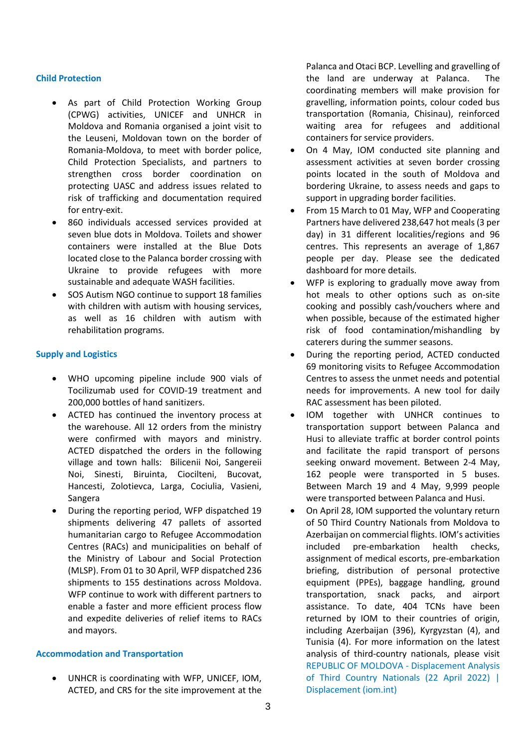#### **Child Protection**

- As part of Child Protection Working Group (CPWG) activities, UNICEF and UNHCR in Moldova and Romania organised a joint visit to the Leuseni, Moldovan town on the border of Romania-Moldova, to meet with border police, Child Protection Specialists, and partners to strengthen cross border coordination on protecting UASC and address issues related to risk of trafficking and documentation required for entry-exit.
- 860 individuals accessed services provided at seven blue dots in Moldova. Toilets and shower containers were installed at the Blue Dots located close to the Palanca border crossing with Ukraine to provide refugees with more sustainable and adequate WASH facilities.
- SOS Autism NGO continue to support 18 families with children with autism with housing services, as well as 16 children with autism with rehabilitation programs.

#### **Supply and Logistics**

- WHO upcoming pipeline include 900 vials of Tocilizumab used for COVID-19 treatment and 200,000 bottles of hand sanitizers.
- ACTED has continued the inventory process at the warehouse. All 12 orders from the ministry were confirmed with mayors and ministry. ACTED dispatched the orders in the following village and town halls: Bilicenii Noi, Sangereii Noi, Sinesti, Biruinta, Ciocilteni, Bucovat, Hancesti, Zolotievca, Larga, Cociulia, Vasieni, Sangera
- During the reporting period, WFP dispatched 19 shipments delivering 47 pallets of assorted humanitarian cargo to Refugee Accommodation Centres (RACs) and municipalities on behalf of the Ministry of Labour and Social Protection (MLSP). From 01 to 30 April, WFP dispatched 236 shipments to 155 destinations across Moldova. WFP continue to work with different partners to enable a faster and more efficient process flow and expedite deliveries of relief items to RACs and mayors.

#### **Accommodation and Transportation**

• UNHCR is coordinating with WFP, UNICEF, IOM, ACTED, and CRS for the site improvement at the

Palanca and Otaci BCP. Levelling and gravelling of the land are underway at Palanca. The coordinating members will make provision for gravelling, information points, colour coded bus transportation (Romania, Chisinau), reinforced waiting area for refugees and additional containers for service providers.

- On 4 May, IOM conducted site planning and assessment activities at seven border crossing points located in the south of Moldova and bordering Ukraine, to assess needs and gaps to support in upgrading border facilities.
- From 15 March to 01 May, WFP and Cooperating Partners have delivered 238,647 hot meals (3 per day) in 31 different localities/regions and 96 centres. This represents an average of 1,867 people per day. Please see the dedicated dashboard for more details.
- WFP is exploring to gradually move away from hot meals to other options such as on-site cooking and possibly cash/vouchers where and when possible, because of the estimated higher risk of food contamination/mishandling by caterers during the summer seasons.
- During the reporting period, ACTED conducted 69 monitoring visits to Refugee Accommodation Centres to assess the unmet needs and potential needs for improvements. A new tool for daily RAC assessment has been piloted.
- IOM together with UNHCR continues to transportation support between Palanca and Husi to alleviate traffic at border control points and facilitate the rapid transport of persons seeking onward movement. Between 2-4 May, 162 people were transported in 5 buses. Between March 19 and 4 May, 9,999 people were transported between Palanca and Husi.
- On April 28, IOM supported the voluntary return of 50 Third Country Nationals from Moldova to Azerbaijan on commercial flights. IOM's activities included pre-embarkation health checks, assignment of medical escorts, pre-embarkation briefing, distribution of personal protective equipment (PPEs), baggage handling, ground transportation, snack packs, and airport assistance. To date, 404 TCNs have been returned by IOM to their countries of origin, including Azerbaijan (396), Kyrgyzstan (4), and Tunisia (4). For more information on the latest analysis of third-country nationals, please visit [REPUBLIC OF MOLDOVA -](https://displacement.iom.int/reports/republic-moldova-displacement-analysis-third-country-nationals-22-april-2022?close=true) Displacement Analysis [of Third Country Nationals \(22 April 2022\) |](https://displacement.iom.int/reports/republic-moldova-displacement-analysis-third-country-nationals-22-april-2022?close=true)  [Displacement \(iom.int\)](https://displacement.iom.int/reports/republic-moldova-displacement-analysis-third-country-nationals-22-april-2022?close=true)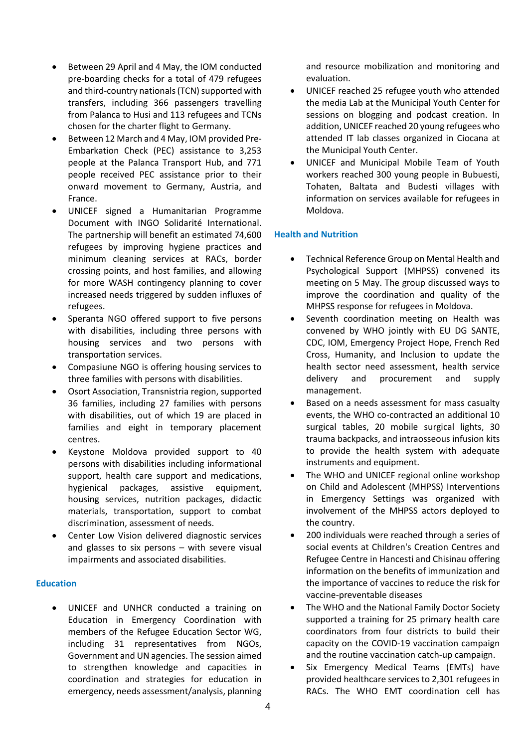- Between 29 April and 4 May, the IOM conducted pre-boarding checks for a total of 479 refugees and third-country nationals (TCN) supported with transfers, including 366 passengers travelling from Palanca to Husi and 113 refugees and TCNs chosen for the charter flight to Germany.
- Between 12 March and 4 May, IOM provided Pre-Embarkation Check (PEC) assistance to 3,253 people at the Palanca Transport Hub, and 771 people received PEC assistance prior to their onward movement to Germany, Austria, and France.
- UNICEF signed a Humanitarian Programme Document with INGO Solidarité International. The partnership will benefit an estimated 74,600 refugees by improving hygiene practices and minimum cleaning services at RACs, border crossing points, and host families, and allowing for more WASH contingency planning to cover increased needs triggered by sudden influxes of refugees.
- Speranta NGO offered support to five persons with disabilities, including three persons with housing services and two persons with transportation services.
- Compasiune NGO is offering housing services to three families with persons with disabilities.
- Osort Association, Transnistria region, supported 36 families, including 27 families with persons with disabilities, out of which 19 are placed in families and eight in temporary placement centres.
- Keystone Moldova provided support to 40 persons with disabilities including informational support, health care support and medications, hygienical packages, assistive equipment, housing services, nutrition packages, didactic materials, transportation, support to combat discrimination, assessment of needs.
- Center Low Vision delivered diagnostic services and glasses to six persons – with severe visual impairments and associated disabilities.

## **Education**

• UNICEF and UNHCR conducted a training on Education in Emergency Coordination with members of the Refugee Education Sector WG, including 31 representatives from NGOs, Government and UN agencies. The session aimed to strengthen knowledge and capacities in coordination and strategies for education in emergency, needs assessment/analysis, planning

and resource mobilization and monitoring and evaluation.

- UNICEF reached 25 refugee youth who attended the media Lab at the Municipal Youth Center for sessions on blogging and podcast creation. In addition, UNICEF reached 20 young refugees who attended IT lab classes organized in Ciocana at the Municipal Youth Center.
- UNICEF and Municipal Mobile Team of Youth workers reached 300 young people in Bubuesti, Tohaten, Baltata and Budesti villages with information on services available for refugees in Moldova.

#### **Health and Nutrition**

- Technical Reference Group on Mental Health and Psychological Support (MHPSS) convened its meeting on 5 May. The group discussed ways to improve the coordination and quality of the MHPSS response for refugees in Moldova.
- Seventh coordination meeting on Health was convened by WHO jointly with EU DG SANTE, CDC, IOM, Emergency Project Hope, French Red Cross, Humanity, and Inclusion to update the health sector need assessment, health service delivery and procurement and supply management.
- Based on a needs assessment for mass casualty events, the WHO co-contracted an additional 10 surgical tables, 20 mobile surgical lights, 30 trauma backpacks, and intraosseous infusion kits to provide the health system with adequate instruments and equipment.
- The WHO and UNICEF regional online workshop on Child and Adolescent (MHPSS) Interventions in Emergency Settings was organized with involvement of the MHPSS actors deployed to the country.
- 200 individuals were reached through a series of social events at Children's Creation Centres and Refugee Centre in Hancesti and Chisinau offering information on the benefits of immunization and the importance of vaccines to reduce the risk for vaccine-preventable diseases
- The WHO and the National Family Doctor Society supported a training for 25 primary health care coordinators from four districts to build their capacity on the COVID-19 vaccination campaign and the routine vaccination catch-up campaign.
- Six Emergency Medical Teams (EMTs) have provided healthcare services to 2,301 refugees in RACs. The WHO EMT coordination cell has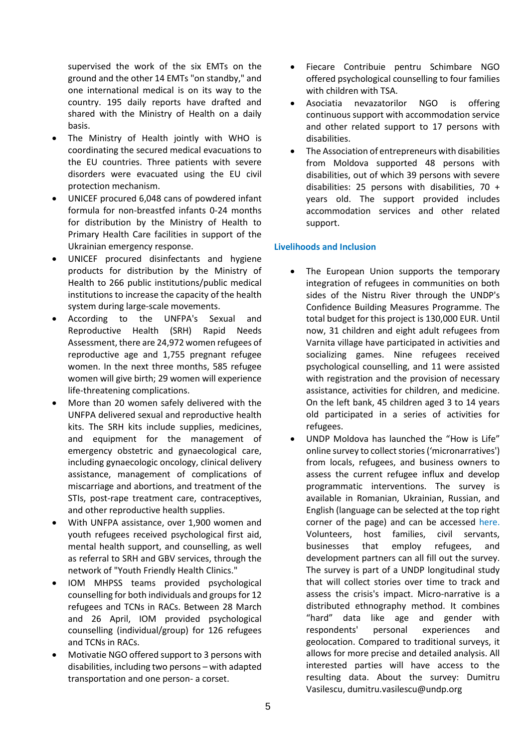supervised the work of the six EMTs on the ground and the other 14 EMTs "on standby," and one international medical is on its way to the country. 195 daily reports have drafted and shared with the Ministry of Health on a daily basis.

- The Ministry of Health jointly with WHO is coordinating the secured medical evacuations to the EU countries. Three patients with severe disorders were evacuated using the EU civil protection mechanism.
- UNICEF procured 6,048 cans of powdered infant formula for non-breastfed infants 0-24 months for distribution by the Ministry of Health to Primary Health Care facilities in support of the Ukrainian emergency response.
- UNICEF procured disinfectants and hygiene products for distribution by the Ministry of Health to 266 public institutions/public medical institutions to increase the capacity of the health system during large-scale movements.
- According to the UNFPA's Sexual and Reproductive Health (SRH) Rapid Needs Assessment, there are 24,972 women refugees of reproductive age and 1,755 pregnant refugee women. In the next three months, 585 refugee women will give birth; 29 women will experience life-threatening complications.
- More than 20 women safely delivered with the UNFPA delivered sexual and reproductive health kits. The SRH kits include supplies, medicines, and equipment for the management of emergency obstetric and gynaecological care, including gynaecologic oncology, clinical delivery assistance, management of complications of miscarriage and abortions, and treatment of the STIs, post-rape treatment care, contraceptives, and other reproductive health supplies.
- With UNFPA assistance, over 1,900 women and youth refugees received psychological first aid, mental health support, and counselling, as well as referral to SRH and GBV services, through the network of "Youth Friendly Health Clinics."
- IOM MHPSS teams provided psychological counselling for both individuals and groups for 12 refugees and TCNs in RACs. Between 28 March and 26 April, IOM provided psychological counselling (individual/group) for 126 refugees and TCNs in RACs.
- Motivatie NGO offered support to 3 persons with disabilities, including two persons – with adapted transportation and one person- a corset.
- Fiecare Contribuie pentru Schimbare NGO offered psychological counselling to four families with children with TSA.
- Asociatia nevazatorilor NGO is offering continuous support with accommodation service and other related support to 17 persons with disabilities.
- The Association of entrepreneurs with disabilities from Moldova supported 48 persons with disabilities, out of which 39 persons with severe disabilities: 25 persons with disabilities, 70 + years old. The support provided includes accommodation services and other related support.

## **Livelihoods and Inclusion**

- The European Union supports the temporary integration of refugees in communities on both sides of the Nistru River through the UNDP's Confidence Building Measures Programme. The total budget for this project is 130,000 EUR. Until now, 31 children and eight adult refugees from Varnita village have participated in activities and socializing games. Nine refugees received psychological counselling, and 11 were assisted with registration and the provision of necessary assistance, activities for children, and medicine. On the left bank, 45 children aged 3 to 14 years old participated in a series of activities for refugees.
- UNDP Moldova has launched the "How is Life" online survey to collect stories('micronarratives') from locals, refugees, and business owners to assess the current refugee influx and develop programmatic interventions. The survey is available in Romanian, Ukrainian, Russian, and English (language can be selected at the top right corner of the page) and can be accessed [here.](https://collector.sensemaker-suite.com/collector?projectID=72200029-9d24-45d6-9283-deab4e853214) Volunteers, host families, civil servants, businesses that employ refugees, and development partners can all fill out the survey. The survey is part of a UNDP longitudinal study that will collect stories over time to track and assess the crisis's impact. Micro-narrative is a distributed ethnography method. It combines "hard" data like age and gender with respondents' personal experiences and geolocation. Compared to traditional surveys, it allows for more precise and detailed analysis. All interested parties will have access to the resulting data. About the survey: Dumitru Vasilescu, dumitru.vasilescu@undp.org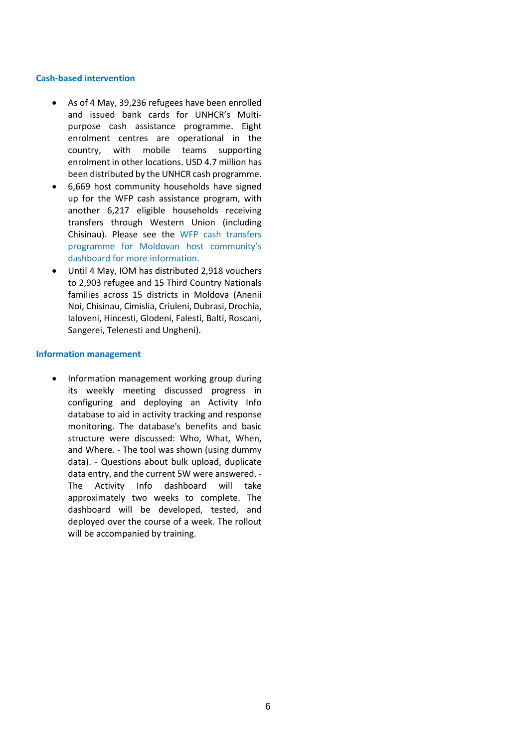#### **Cash-based intervention**

- As of 4 May, 39,236 refugees have been enrolled and issued bank cards for UNHCR's Multipurpose cash assistance programme. Eight enrolment centres are operational in the country, with mobile teams supporting enrolment in other locations. USD 4.7 million has been distributed by the UNHCR cash programme.
- 6,669 host community households have signed up for the WFP cash assistance program, with another 6,217 eligible households receiving transfers through Western Union (including Chisinau). Please see the [WFP cash transfers](https://eur02.safelinks.protection.outlook.com/GetUrlReputation)  [programme for Moldovan host](https://eur02.safelinks.protection.outlook.com/GetUrlReputation) community's [dashboard for more information.](https://eur02.safelinks.protection.outlook.com/GetUrlReputation)
- Until 4 May, IOM has distributed 2,918 vouchers to 2,903 refugee and 15 Third Country Nationals families across 15 districts in Moldova (Anenii Noi, Chisinau, Cimislia, Criuleni, Dubrasi, Drochia, Ialoveni, Hincesti, Glodeni, Falesti, Balti, Roscani, Sangerei, Telenesti and Ungheni).

#### **Information management**

• Information management working group during its weekly meeting discussed progress in configuring and deploying an Activity Info database to aid in activity tracking and response monitoring. The database's benefits and basic structure were discussed: Who, What, When, and Where. - The tool was shown (using dummy data). - Questions about bulk upload, duplicate data entry, and the current 5W were answered. - The Activity Info dashboard will take approximately two weeks to complete. The dashboard will be developed, tested, and deployed over the course of a week. The rollout will be accompanied by training.